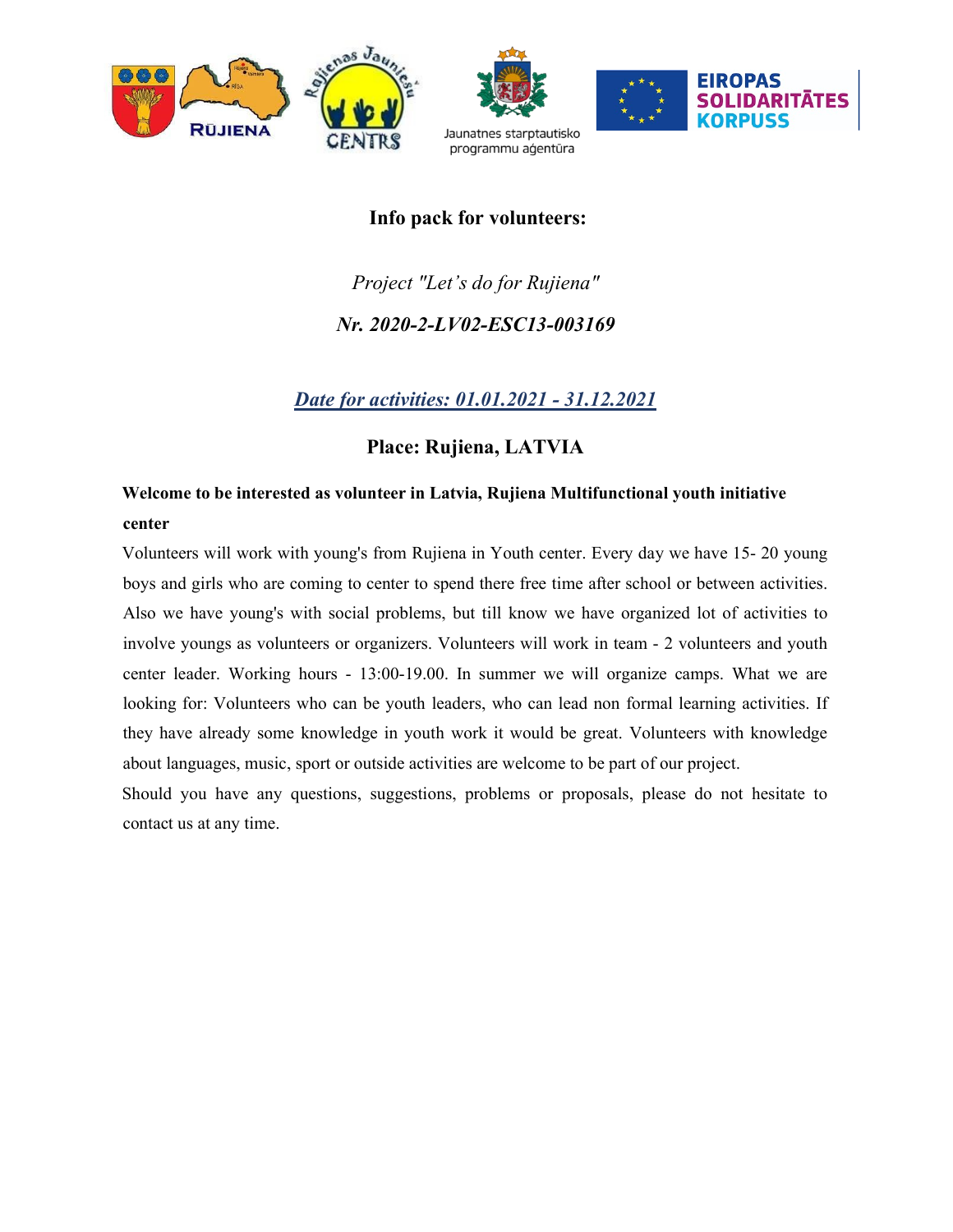

### Info pack for volunteers:

# Project "Let's do for Rujiena" Nr. 2020-2-LV02-ESC13-003169

## Date for activities: 01.01.2021 - 31.12.2021

## Place: Rujiena, LATVIA

## Welcome to be interested as volunteer in Latvia, Rujiena Multifunctional youth initiative center

Volunteers will work with young's from Rujiena in Youth center. Every day we have 15- 20 young boys and girls who are coming to center to spend there free time after school or between activities. Also we have young's with social problems, but till know we have organized lot of activities to involve youngs as volunteers or organizers. Volunteers will work in team - 2 volunteers and youth center leader. Working hours - 13:00-19.00. In summer we will organize camps. What we are looking for: Volunteers who can be youth leaders, who can lead non formal learning activities. If they have already some knowledge in youth work it would be great. Volunteers with knowledge about languages, music, sport or outside activities are welcome to be part of our project.

Should you have any questions, suggestions, problems or proposals, please do not hesitate to contact us at any time.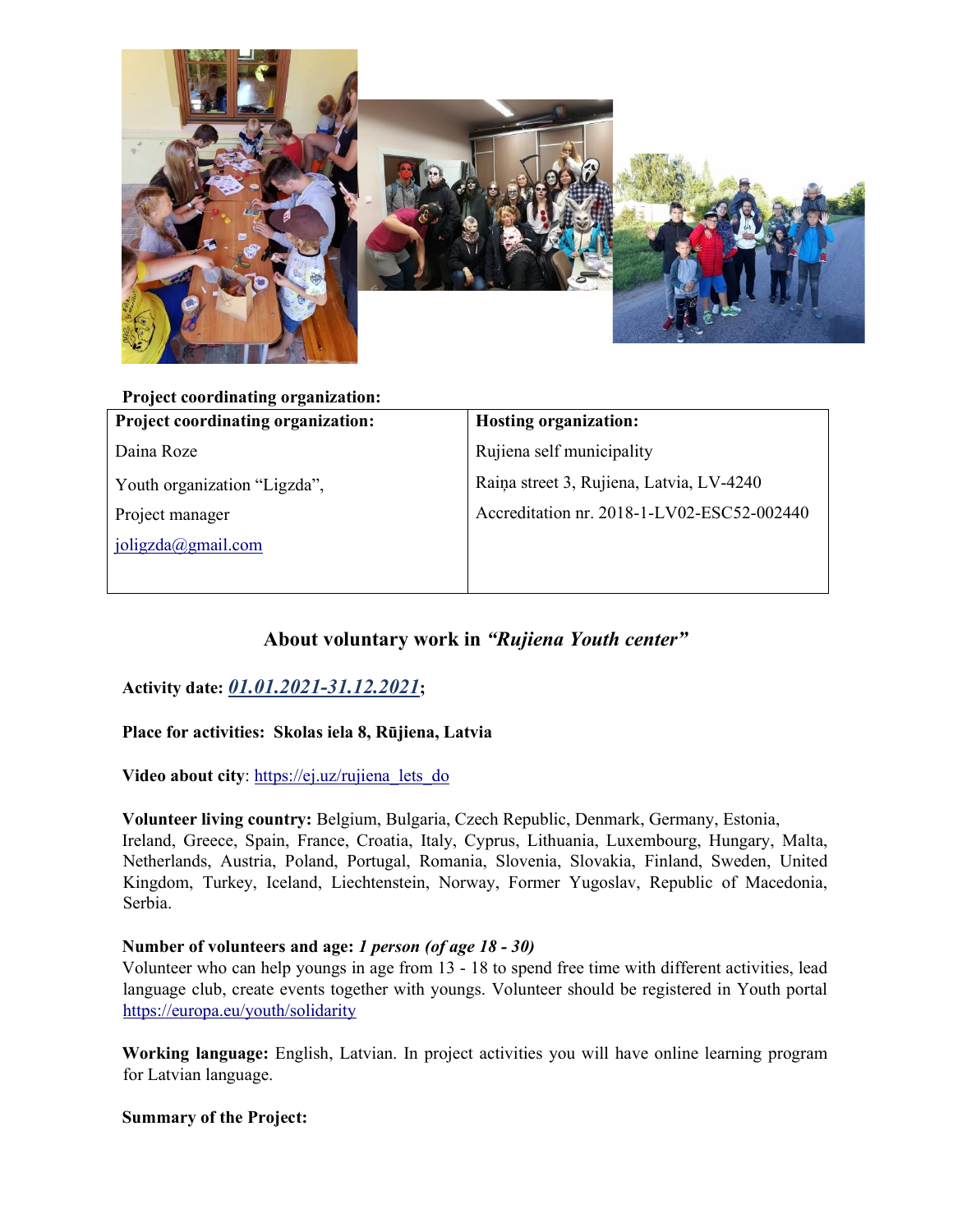

Project coordinating organization: Project coordinating organization: Daina Roze Youth organization "Ligzda", Project manager joligzda@gmail.com Hosting organization: Rujiena self municipality Raiņa street 3, Rujiena, Latvia, LV-4240 Accreditation nr. 2018-1-LV02-ESC52-002440

# About voluntary work in "Rujiena Youth center"

Activity date: 01.01.2021-31.12.2021;

Place for activities: Skolas iela 8, Rūjiena, Latvia

Video about city: https://ej.uz/rujiena lets do

Volunteer living country: Belgium, Bulgaria, Czech Republic, Denmark, Germany, Estonia, Ireland, Greece, Spain, France, Croatia, Italy, Cyprus, Lithuania, Luxembourg, Hungary, Malta, Netherlands, Austria, Poland, Portugal, Romania, Slovenia, Slovakia, Finland, Sweden, United Kingdom, Turkey, Iceland, Liechtenstein, Norway, Former Yugoslav, Republic of Macedonia, Serbia.

#### Number of volunteers and age: 1 person (of age 18 - 30)

Volunteer who can help youngs in age from 13 - 18 to spend free time with different activities, lead language club, create events together with youngs. Volunteer should be registered in Youth portal https://europa.eu/youth/solidarity

Working language: English, Latvian. In project activities you will have online learning program for Latvian language.

Summary of the Project: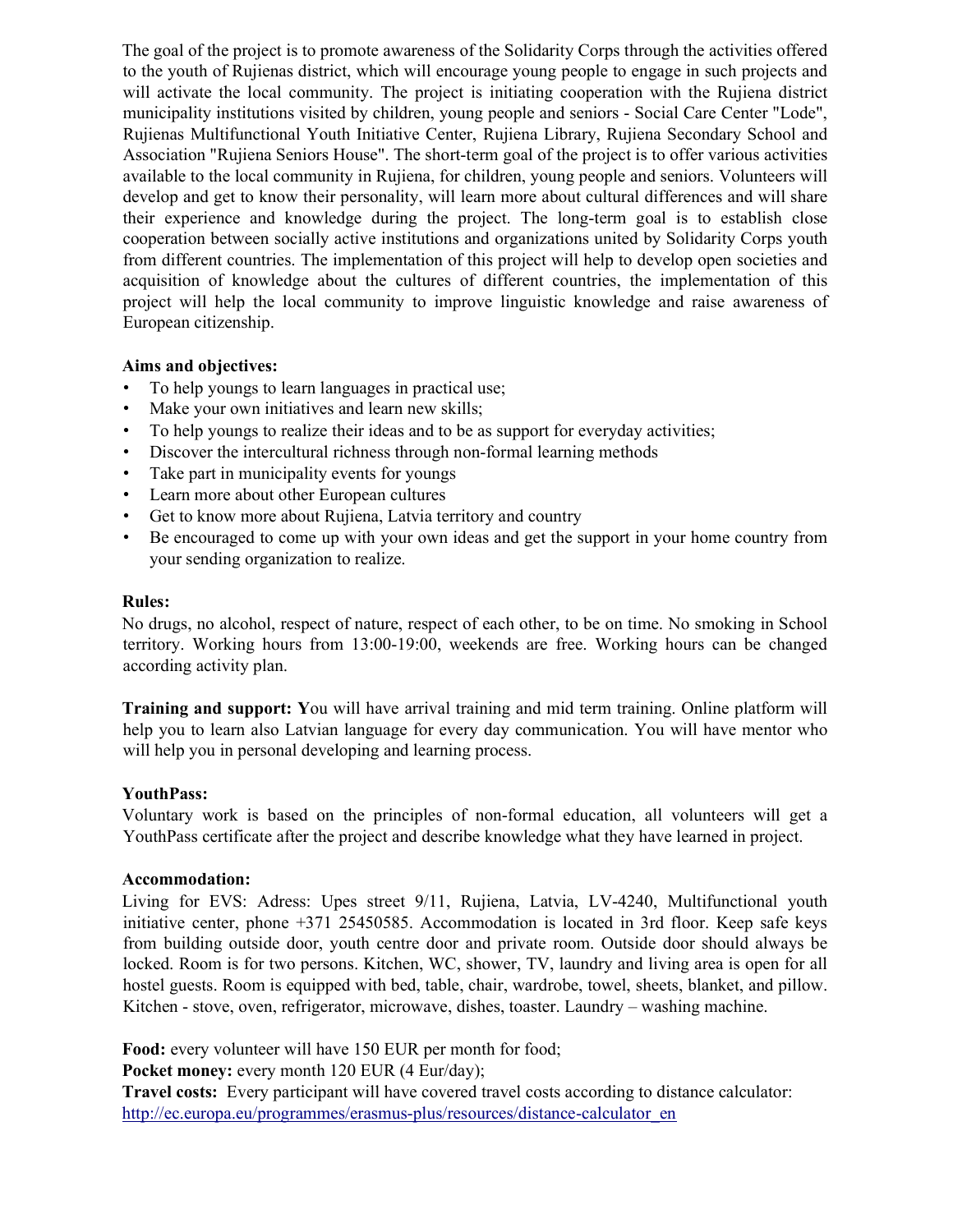The goal of the project is to promote awareness of the Solidarity Corps through the activities offered to the youth of Rujienas district, which will encourage young people to engage in such projects and will activate the local community. The project is initiating cooperation with the Rujiena district municipality institutions visited by children, young people and seniors - Social Care Center "Lode", Rujienas Multifunctional Youth Initiative Center, Rujiena Library, Rujiena Secondary School and Association "Rujiena Seniors House". The short-term goal of the project is to offer various activities available to the local community in Rujiena, for children, young people and seniors. Volunteers will develop and get to know their personality, will learn more about cultural differences and will share their experience and knowledge during the project. The long-term goal is to establish close cooperation between socially active institutions and organizations united by Solidarity Corps youth from different countries. The implementation of this project will help to develop open societies and acquisition of knowledge about the cultures of different countries, the implementation of this project will help the local community to improve linguistic knowledge and raise awareness of European citizenship.

#### Aims and objectives:

- To help youngs to learn languages in practical use;
- Make your own initiatives and learn new skills;
- To help youngs to realize their ideas and to be as support for everyday activities;
- Discover the intercultural richness through non-formal learning methods
- Take part in municipality events for youngs
- Learn more about other European cultures
- Get to know more about Rujiena, Latvia territory and country
- Be encouraged to come up with your own ideas and get the support in your home country from your sending organization to realize.

#### Rules:

No drugs, no alcohol, respect of nature, respect of each other, to be on time. No smoking in School territory. Working hours from 13:00-19:00, weekends are free. Working hours can be changed according activity plan.

Training and support: You will have arrival training and mid term training. Online platform will help you to learn also Latvian language for every day communication. You will have mentor who will help you in personal developing and learning process.

#### YouthPass:

Voluntary work is based on the principles of non-formal education, all volunteers will get a YouthPass certificate after the project and describe knowledge what they have learned in project.

#### Accommodation:

Living for EVS: Adress: Upes street 9/11, Rujiena, Latvia, LV-4240, Multifunctional youth initiative center, phone +371 25450585. Accommodation is located in 3rd floor. Keep safe keys from building outside door, youth centre door and private room. Outside door should always be locked. Room is for two persons. Kitchen, WC, shower, TV, laundry and living area is open for all hostel guests. Room is equipped with bed, table, chair, wardrobe, towel, sheets, blanket, and pillow. Kitchen - stove, oven, refrigerator, microwave, dishes, toaster. Laundry – washing machine.

Food: every volunteer will have 150 EUR per month for food;

Pocket money: every month 120 EUR (4 Eur/day);

Travel costs: Every participant will have covered travel costs according to distance calculator: http://ec.europa.eu/programmes/erasmus-plus/resources/distance-calculator\_en